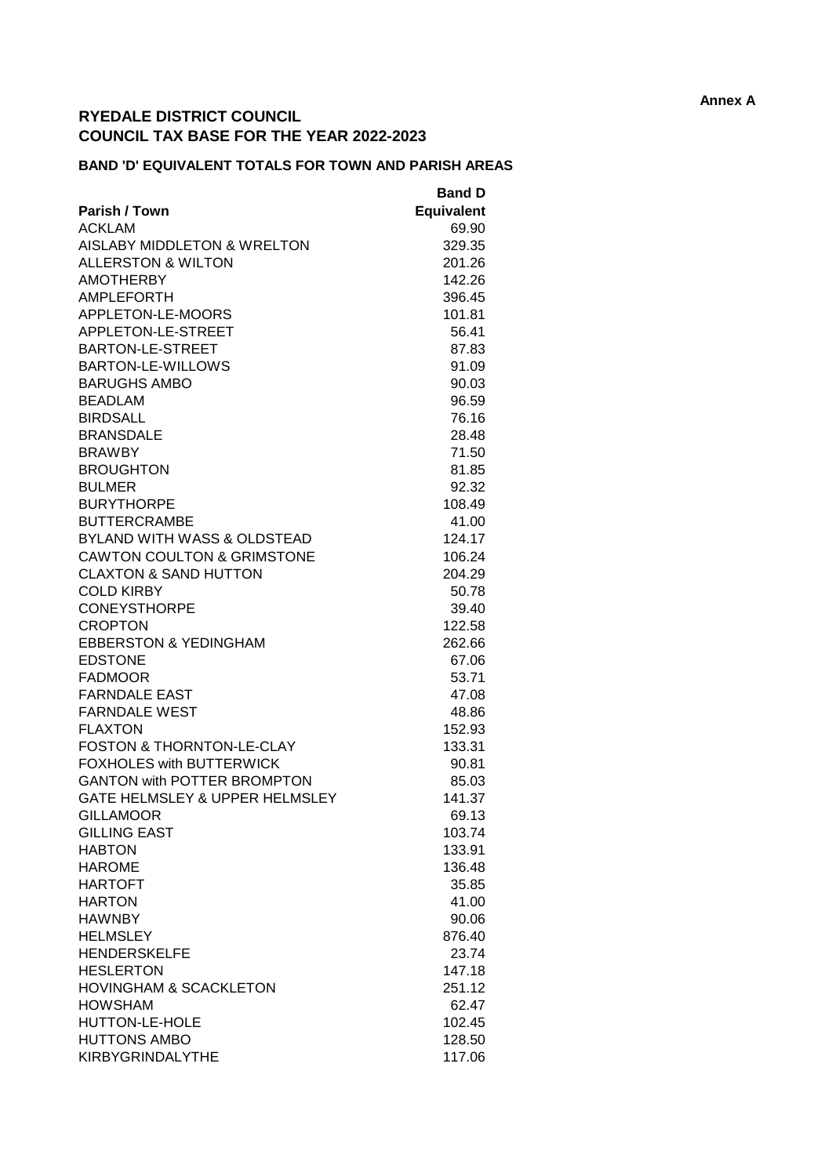## **RYEDALE DISTRICT COUNCIL COUNCIL TAX BASE FOR THE YEAR 2022-2023**

## **BAND 'D' EQUIVALENT TOTALS FOR TOWN AND PARISH AREAS**

|                                        | <b>Band D</b>     |
|----------------------------------------|-------------------|
| Parish / Town                          | <b>Equivalent</b> |
| <b>ACKLAM</b>                          | 69.90             |
| AISLABY MIDDLETON & WRELTON            | 329.35            |
| <b>ALLERSTON &amp; WILTON</b>          | 201.26            |
| <b>AMOTHERBY</b>                       | 142.26            |
| AMPLEFORTH                             | 396.45            |
| APPLETON-LE-MOORS                      | 101.81            |
| APPLETON-LE-STREET                     | 56.41             |
| BARTON-LE-STREET                       | 87.83             |
| BARTON-LE-WILLOWS                      | 91.09             |
| <b>BARUGHS AMBO</b>                    | 90.03             |
| <b>BEADLAM</b>                         | 96.59             |
| <b>BIRDSALL</b>                        | 76.16             |
| <b>BRANSDALE</b>                       | 28.48             |
| <b>BRAWBY</b>                          | 71.50             |
| <b>BROUGHTON</b>                       | 81.85             |
| <b>BULMER</b>                          | 92.32             |
| <b>BURYTHORPE</b>                      | 108.49            |
| <b>BUTTERCRAMBE</b>                    | 41.00             |
| <b>BYLAND WITH WASS &amp; OLDSTEAD</b> | 124.17            |
| <b>CAWTON COULTON &amp; GRIMSTONE</b>  | 106.24            |
| <b>CLAXTON &amp; SAND HUTTON</b>       | 204.29            |
| <b>COLD KIRBY</b>                      | 50.78             |
| <b>CONEYSTHORPE</b>                    | 39.40             |
| <b>CROPTON</b>                         | 122.58            |
| <b>EBBERSTON &amp; YEDINGHAM</b>       | 262.66            |
| <b>EDSTONE</b>                         | 67.06             |
| <b>FADMOOR</b>                         | 53.71             |
| <b>FARNDALE EAST</b>                   | 47.08             |
| <b>FARNDALE WEST</b>                   | 48.86             |
| <b>FLAXTON</b>                         | 152.93            |
| <b>FOSTON &amp; THORNTON-LE-CLAY</b>   | 133.31            |
| <b>FOXHOLES with BUTTERWICK</b>        | 90.81             |
| <b>GANTON with POTTER BROMPTON</b>     | 85.03             |
| GATE HELMSLEY & UPPER HELMSLEY         | 141.37            |
| <b>GILLAMOOR</b>                       | 69.13             |
| <b>GILLING EAST</b>                    | 103.74            |
| <b>HABTON</b>                          | 133.91            |
| <b>HAROME</b>                          | 136.48            |
| <b>HARTOFT</b>                         | 35.85             |
| <b>HARTON</b>                          | 41.00             |
| <b>HAWNBY</b>                          | 90.06             |
| <b>HELMSLEY</b>                        | 876.40            |
| <b>HENDERSKELFE</b>                    | 23.74             |
| <b>HESLERTON</b>                       | 147.18            |
| <b>HOVINGHAM &amp; SCACKLETON</b>      | 251.12            |
| <b>HOWSHAM</b>                         | 62.47             |
| HUTTON-LE-HOLE                         | 102.45            |
| <b>HUTTONS AMBO</b>                    |                   |
| <b>KIRBYGRINDALYTHE</b>                | 128.50            |
|                                        | 117.06            |